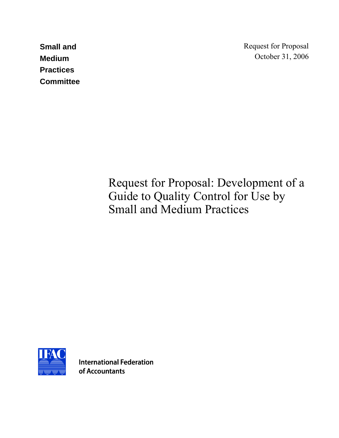**Small and Medium Practices Committee**  Request for Proposal October 31, 2006

Request for Proposal: Development of a Guide to Quality Control for Use by Small and Medium Practices



**International Federation** of Accountants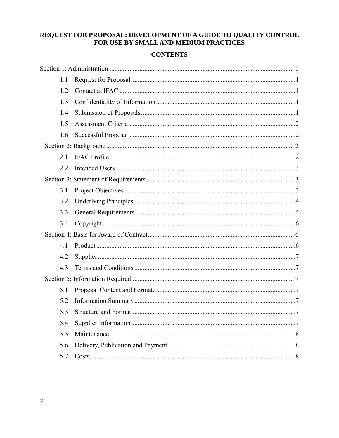# REQUEST FOR PROPOSAL: DEVELOPMENT OF A GUIDE TO QUALITY CONTROL<br>FOR USE BY SMALL AND MEDIUM PRACTICES

#### **CONTENTS**

| 1.1 |  |  |
|-----|--|--|
| 1.2 |  |  |
| 1.3 |  |  |
| 1.4 |  |  |
| 1.5 |  |  |
| 1.6 |  |  |
|     |  |  |
| 2.1 |  |  |
| 2.2 |  |  |
|     |  |  |
| 3.1 |  |  |
| 3.2 |  |  |
| 3.3 |  |  |
| 3.4 |  |  |
|     |  |  |
| 4.1 |  |  |
| 4.2 |  |  |
| 4.3 |  |  |
|     |  |  |
| 5.1 |  |  |
| 5.2 |  |  |
| 5.3 |  |  |
| 5.4 |  |  |
| 5.5 |  |  |
| 5.6 |  |  |
| 5.7 |  |  |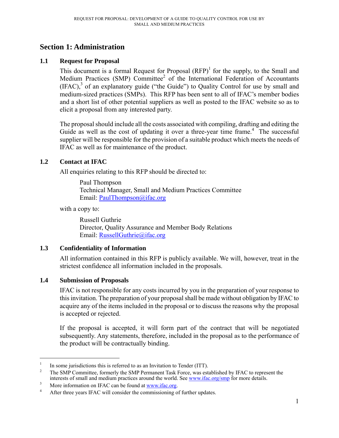# **Section 1: Administration**

#### **1.1 Request for Proposal**

This document is a formal Request for Proposal  $(RFP)^1$  for the supply, to the Small and Medium Practices (SMP) Committee $^2$  of the International Federation of Accountants  $(IFAC)<sup>3</sup>$  of an explanatory guide ("the Guide") to Quality Control for use by small and medium-sized practices (SMPs). This RFP has been sent to all of IFAC's member bodies and a short list of other potential suppliers as well as posted to the IFAC website so as to elicit a proposal from any interested party.

The proposal should include all the costs associated with compiling, drafting and editing the Guide as well as the cost of updating it over a three-year time frame.<sup>4</sup> The successful supplier will be responsible for the provision of a suitable product which meets the needs of IFAC as well as for maintenance of the product.

## **1.2 Contact at IFAC**

All enquiries relating to this RFP should be directed to:

 Paul Thompson Technical Manager, Small and Medium Practices Committee Email: PaulThompson@ifac.org

with a copy to:

Russell Guthrie Director, Quality Assurance and Member Body Relations Email: RussellGuthrie@ifac.org

## **1.3 Confidentiality of Information**

All information contained in this RFP is publicly available. We will, however, treat in the strictest confidence all information included in the proposals.

## **1.4 Submission of Proposals**

 $\overline{a}$ 

IFAC is not responsible for any costs incurred by you in the preparation of your response to this invitation. The preparation of your proposal shall be made without obligation by IFAC to acquire any of the items included in the proposal or to discuss the reasons why the proposal is accepted or rejected.

If the proposal is accepted, it will form part of the contract that will be negotiated subsequently. Any statements, therefore, included in the proposal as to the performance of the product will be contractually binding.

<sup>1</sup> In some jurisdictions this is referred to as an Invitation to Tender (ITT).

<sup>2</sup> The SMP Committee, formerly the SMP Permanent Task Force, was established by IFAC to represent the interests of small and medium practices around the world. See www.ifac.org/smp for more details.<br>More information on IEAC can be found at www.ifac.org

More information on IFAC can be found at  $\frac{www.ifac.org}{4}$ .

After three years IFAC will consider the commissioning of further updates.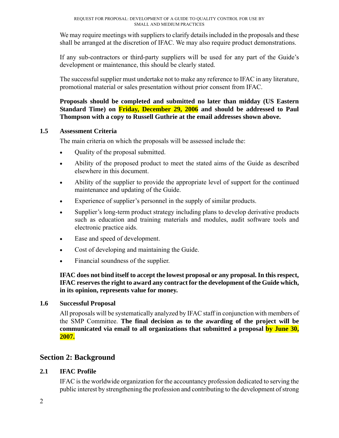We may require meetings with suppliers to clarify details included in the proposals and these shall be arranged at the discretion of IFAC. We may also require product demonstrations.

If any sub-contractors or third-party suppliers will be used for any part of the Guide's development or maintenance, this should be clearly stated.

The successful supplier must undertake not to make any reference to IFAC in any literature, promotional material or sales presentation without prior consent from IFAC.

**Proposals should be completed and submitted no later than midday (US Eastern Standard Time) on Friday, December 29, 2006 and should be addressed to Paul Thompson with a copy to Russell Guthrie at the email addresses shown above.**

## **1.5 Assessment Criteria**

The main criteria on which the proposals will be assessed include the:

- Quality of the proposal submitted.
- Ability of the proposed product to meet the stated aims of the Guide as described elsewhere in this document.
- Ability of the supplier to provide the appropriate level of support for the continued maintenance and updating of the Guide.
- Experience of supplier's personnel in the supply of similar products.
- Supplier's long-term product strategy including plans to develop derivative products such as education and training materials and modules, audit software tools and electronic practice aids.
- Ease and speed of development.
- Cost of developing and maintaining the Guide.
- Financial soundness of the supplier.

## **IFAC does not bind itself to accept the lowest proposal or any proposal. In this respect, IFAC reserves the right to award any contract for the development of the Guide which, in its opinion, represents value for money.**

## **1.6 Successful Proposal**

All proposals will be systematically analyzed by IFAC staff in conjunction with members of the SMP Committee. **The final decision as to the awarding of the project will be communicated via email to all organizations that submitted a proposal by June 30, 2007.** 

## **Section 2: Background**

## **2.1 IFAC Profile**

IFAC is the worldwide organization for the accountancy profession dedicated to serving the public interest by strengthening the profession and contributing to the development of strong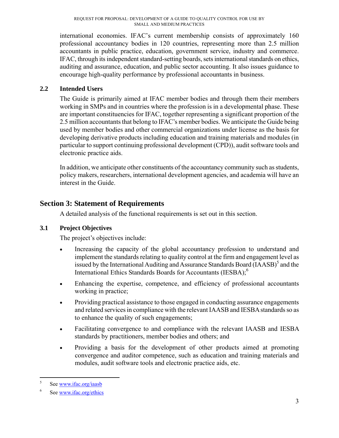international economies. IFAC's current membership consists of approximately 160 professional accountancy bodies in 120 countries, representing more than 2.5 million accountants in public practice, education, government service, industry and commerce. IFAC, through its independent standard-setting boards, sets international standards on ethics, auditing and assurance, education, and public sector accounting. It also issues guidance to encourage high-quality performance by professional accountants in business.

## **2.2 Intended Users**

The Guide is primarily aimed at IFAC member bodies and through them their members working in SMPs and in countries where the profession is in a developmental phase. These are important constituencies for IFAC, together representing a significant proportion of the 2.5 million accountants that belong to IFAC's member bodies. We anticipate the Guide being used by member bodies and other commercial organizations under license as the basis for developing derivative products including education and training materials and modules (in particular to support continuing professional development (CPD)), audit software tools and electronic practice aids.

In addition, we anticipate other constituents of the accountancy community such as students, policy makers, researchers, international development agencies, and academia will have an interest in the Guide.

# **Section 3: Statement of Requirements**

A detailed analysis of the functional requirements is set out in this section.

## **3.1 Project Objectives**

The project's objectives include:

- Increasing the capacity of the global accountancy profession to understand and implement the standards relating to quality control at the firm and engagement level as issued by the International Auditing and Assurance Standards Board (IAASB)<sup>5</sup> and the International Ethics Standards Boards for Accountants (IESBA);<sup>6</sup>
- Enhancing the expertise, competence, and efficiency of professional accountants working in practice;
- Providing practical assistance to those engaged in conducting assurance engagements and related services in compliance with the relevant IAASB and IESBA standards so as to enhance the quality of such engagements;
- Facilitating convergence to and compliance with the relevant IAASB and IESBA standards by practitioners, member bodies and others; and
- Providing a basis for the development of other products aimed at promoting convergence and auditor competence, such as education and training materials and modules, audit software tools and electronic practice aids, etc.

 5 See www.ifac.org/iaasb

<sup>6</sup> See www.ifac.org/ethics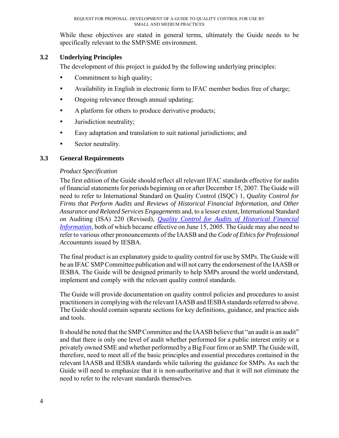While these objectives are stated in general terms, ultimately the Guide needs to be specifically relevant to the SMP/SME environment.

## **3.2 Underlying Principles**

The development of this project is guided by the following underlying principles:

- Commitment to high quality;
- Availability in English in electronic form to IFAC member bodies free of charge;
- Ongoing relevance through annual updating;
- A platform for others to produce derivative products;
- Jurisdiction neutrality;
- Easy adaptation and translation to suit national jurisdictions; and
- Sector neutrality.

## **3.3 General Requirements**

## *Product Specification*

The first edition of the Guide should reflect all relevant IFAC standards effective for audits of financial statements for periods beginning on or after December 15, 2007. The Guide will need to refer to International Standard on Quality Control (ISQC) 1, *Quality Control for Firms that Perform Audits and Reviews of Historical Financial Information, and Other Assurance and Related Services Engagements* and, to a lesser extent, International Standard on Auditing (ISA) 220 (Revised), *Quality Control for Audits of Historical Financial Information,* both of which became effective on June 15, 2005. The Guide may also need to refer to various other pronouncements of the IAASB and the *Code of Ethics for Professional Accountants* issued by IESBA.

The final product is an explanatory guide to quality control for use by SMPs. The Guide will be an IFAC SMP Committee publication and will not carry the endorsement of the IAASB or IESBA. The Guide will be designed primarily to help SMPs around the world understand, implement and comply with the relevant quality control standards.

The Guide will provide documentation on quality control policies and procedures to assist practitioners in complying with the relevant IAASB and IESBA standards referred to above. The Guide should contain separate sections for key definitions, guidance, and practice aids and tools.

It should be noted that the SMP Committee and the IAASB believe that "an audit is an audit" and that there is only one level of audit whether performed for a public interest entity or a privately owned SME and whether performed by a Big Four firm or an SMP. The Guide will, therefore, need to meet all of the basic principles and essential procedures contained in the relevant IAASB and IESBA standards while tailoring the guidance for SMPs. As such the Guide will need to emphasize that it is non-authoritative and that it will not eliminate the need to refer to the relevant standards themselves.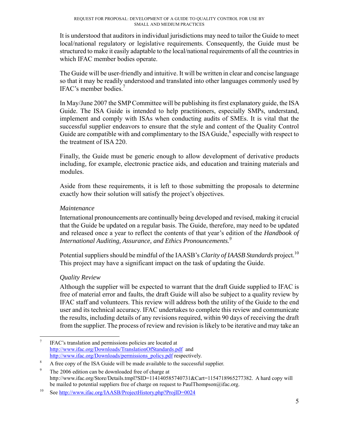It is understood that auditors in individual jurisdictions may need to tailor the Guide to meet local/national regulatory or legislative requirements. Consequently, the Guide must be structured to make it easily adaptable to the local/national requirements of all the countries in which IFAC member bodies operate.

The Guide will be user-friendly and intuitive. It will be written in clear and concise language so that it may be readily understood and translated into other languages commonly used by IFAC's member bodies.7

In May/June 2007 the SMP Committee will be publishing its first explanatory guide, the ISA Guide. The ISA Guide is intended to help practitioners, especially SMPs, understand, implement and comply with ISAs when conducting audits of SMEs. It is vital that the successful supplier endeavors to ensure that the style and content of the Quality Control Guide are compatible with and complimentary to the ISA Guide, $^8$  especially with respect to the treatment of ISA 220.

Finally, the Guide must be generic enough to allow development of derivative products including, for example, electronic practice aids, and education and training materials and modules.

Aside from these requirements, it is left to those submitting the proposals to determine exactly how their solution will satisfy the project's objectives.

## *Maintenance*

International pronouncements are continually being developed and revised, making it crucial that the Guide be updated on a regular basis. The Guide, therefore, may need to be updated and released once a year to reflect the contents of that year's edition of the *Handbook of International Auditing, Assurance, and Ethics Pronouncements.9*

Potential suppliers should be mindful of the IAASB's *Clarity of IAASB Standards* project.<sup>10</sup> This project may have a significant impact on the task of updating the Guide.

## *Quality Review*

Although the supplier will be expected to warrant that the draft Guide supplied to IFAC is free of material error and faults, the draft Guide will also be subject to a quality review by IFAC staff and volunteers. This review will address both the utility of the Guide to the end user and its technical accuracy. IFAC undertakes to complete this review and communicate the results, including details of any revisions required, within 90 days of receiving the draft from the supplier. The process of review and revision is likely to be iterative and may take an

<sup>1</sup> 7 IFAC's translation and permissions policies are located at http://www.ifac.org/Downloads/TranslationOfStandards.pdf and http://www.ifac.org/Downloads/permissions\_policy.pdf respectively.

A free copy of the ISA Guide will be made available to the successful supplier. 9

The 2006 edition can be downloaded free of charge at http://www.ifac.org/Store/Details.tmpl?SID=114140585740731&Cart=1154718965277382. A hard copy will be mailed to potential suppliers free of charge on request to PaulThompson@ifac.org.<br><sup>10</sup> See http://www.ifac.org/IAASB/ProjectHistory.php?ProjID=0024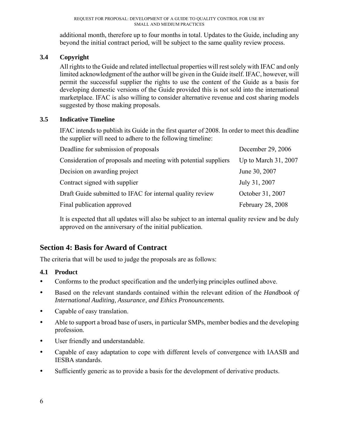additional month, therefore up to four months in total. Updates to the Guide, including any beyond the initial contract period, will be subject to the same quality review process.

## **3.4 Copyright**

All rights to the Guide and related intellectual properties will rest solely with IFAC and only limited acknowledgment of the author will be given in the Guide itself. IFAC, however, will permit the successful supplier the rights to use the content of the Guide as a basis for developing domestic versions of the Guide provided this is not sold into the international marketplace. IFAC is also willing to consider alternative revenue and cost sharing models suggested by those making proposals.

## **3.5 Indicative Timeline**

IFAC intends to publish its Guide in the first quarter of 2008. In order to meet this deadline the supplier will need to adhere to the following timeline:

| Deadline for submission of proposals                            | December 29, 2006      |
|-----------------------------------------------------------------|------------------------|
| Consideration of proposals and meeting with potential suppliers | Up to March $31, 2007$ |
| Decision on awarding project                                    | June 30, 2007          |
| Contract signed with supplier                                   | July 31, 2007          |
| Draft Guide submitted to IFAC for internal quality review       | October 31, 2007       |
| Final publication approved                                      | February 28, 2008      |

It is expected that all updates will also be subject to an internal quality review and be duly approved on the anniversary of the initial publication.

# **Section 4: Basis for Award of Contract**

The criteria that will be used to judge the proposals are as follows:

## **4.1 Product**

- Conforms to the product specification and the underlying principles outlined above.
- y Based on the relevant standards contained within the relevant edition of the *Handbook of International Auditing, Assurance, and Ethics Pronouncements.*
- Capable of easy translation.
- Able to support a broad base of users, in particular SMPs, member bodies and the developing profession.
- User friendly and understandable.
- Capable of easy adaptation to cope with different levels of convergence with IAASB and IESBA standards.
- Sufficiently generic as to provide a basis for the development of derivative products.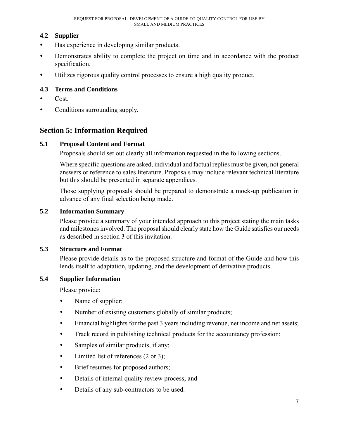## **4.2 Supplier**

- y Has experience in developing similar products.
- Demonstrates ability to complete the project on time and in accordance with the product specification.
- y Utilizes rigorous quality control processes to ensure a high quality product.

## **4.3 Terms and Conditions**

- $\bullet$  Cost.
- Conditions surrounding supply.

# **Section 5: Information Required**

## **5.1 Proposal Content and Format**

Proposals should set out clearly all information requested in the following sections.

Where specific questions are asked, individual and factual replies must be given, not general answers or reference to sales literature. Proposals may include relevant technical literature but this should be presented in separate appendices.

Those supplying proposals should be prepared to demonstrate a mock-up publication in advance of any final selection being made.

## **5.2 Information Summary**

Please provide a summary of your intended approach to this project stating the main tasks and milestones involved. The proposal should clearly state how the Guide satisfies our needs as described in section 3 of this invitation.

## **5.3 Structure and Format**

Please provide details as to the proposed structure and format of the Guide and how this lends itself to adaptation, updating, and the development of derivative products.

## **5.4 Supplier Information**

Please provide:

- Name of supplier;
- Number of existing customers globally of similar products;
- Financial highlights for the past 3 years including revenue, net income and net assets;
- Track record in publishing technical products for the accountancy profession;
- Samples of similar products, if any;
- $\bullet$  Limited list of references (2 or 3);
- Brief resumes for proposed authors;
- Details of internal quality review process; and
- Details of any sub-contractors to be used.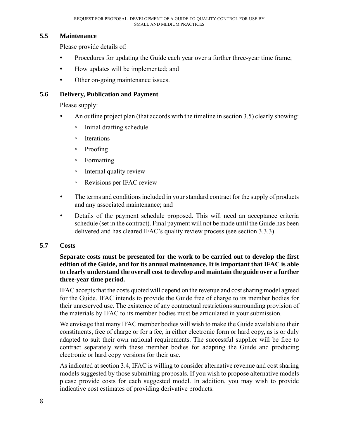#### **5.5 Maintenance**

Please provide details of:

- Procedures for updating the Guide each year over a further three-year time frame;
- How updates will be implemented; and
- Other on-going maintenance issues.

#### **5.6 Delivery, Publication and Payment**

Please supply:

- An outline project plan (that accords with the timeline in section  $3.5$ ) clearly showing:
	- Initial drafting schedule
	- Iterations
	- Proofing
	- Formatting
	- Internal quality review
	- Revisions per IFAC review
- The terms and conditions included in your standard contract for the supply of products and any associated maintenance; and
- Details of the payment schedule proposed. This will need an acceptance criteria schedule (set in the contract). Final payment will not be made until the Guide has been delivered and has cleared IFAC's quality review process (see section 3.3.3).

#### **5.7 Costs**

#### **Separate costs must be presented for the work to be carried out to develop the first edition of the Guide, and for its annual maintenance. It is important that IFAC is able to clearly understand the overall cost to develop and maintain the guide over a further three-year time period.**

IFAC accepts that the costs quoted will depend on the revenue and cost sharing model agreed for the Guide. IFAC intends to provide the Guide free of charge to its member bodies for their unreserved use. The existence of any contractual restrictions surrounding provision of the materials by IFAC to its member bodies must be articulated in your submission.

We envisage that many IFAC member bodies will wish to make the Guide available to their constituents, free of charge or for a fee, in either electronic form or hard copy, as is or duly adapted to suit their own national requirements. The successful supplier will be free to contract separately with these member bodies for adapting the Guide and producing electronic or hard copy versions for their use.

As indicated at section 3.4, IFAC is willing to consider alternative revenue and cost sharing models suggested by those submitting proposals. If you wish to propose alternative models please provide costs for each suggested model. In addition, you may wish to provide indicative cost estimates of providing derivative products.